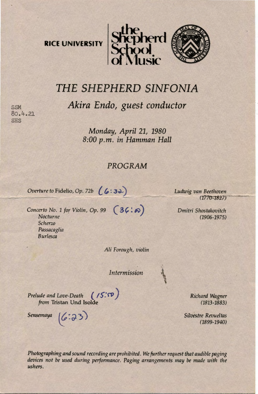



## *THE SHEPHERD* SINFONIA

*Akira Endo, guest conductor* 

**SSM** 80.4.21 SHS

> *Monday, April 21, 1980 8:00 p.m. in Hamman Hall*

## *PROGRAM*

*Overture to Fidelio, Op. 72b (6:32)* 

*Concerto No. 1 for Violin, Op. 99* (36:8) *Nocturne Scherzo Passacaglia Burlesca* 

*Ali Forough, violin* 

*Intermission* 

*Prelude and Love-Death (15:50) from* Tristan Und Isolde

Sensemaya  $(6:33)$ 

*Ludwig van Beethoven*<br>(1770-1827)

*Dmitri Shostakovitch*  (1906-1975)

> *Richard Wagner*  (1813-1883)

*Silvestre Revueltas* (1899-1940)

Photographing and sound recording are prohibited. We further request that audible paging *devices not be used during performance. Paging arrangements may* be *made with the ushers.*